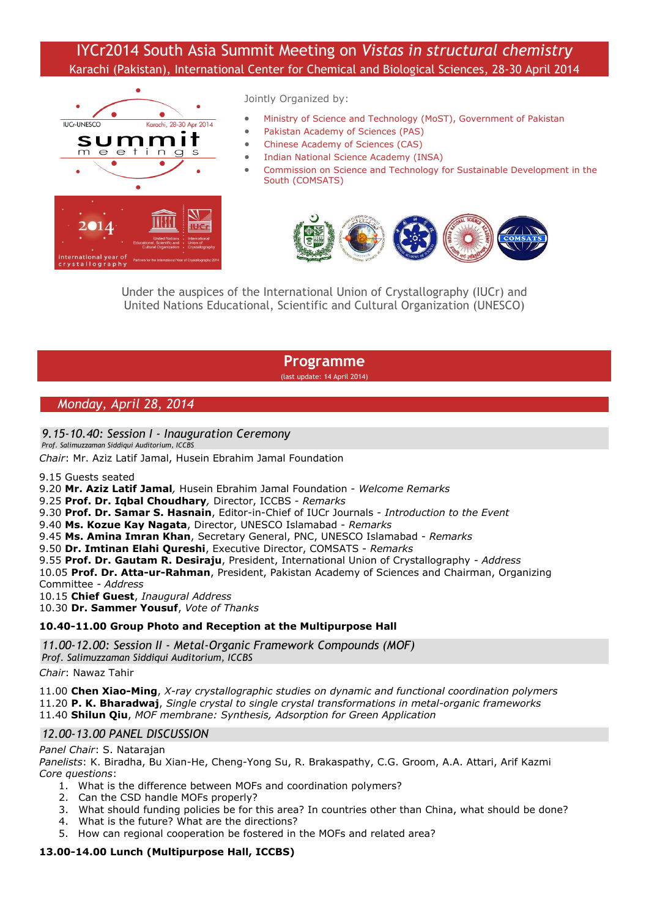# IYCr2014 South Asia Summit Meeting on *Vistas in structural chemistry* Karachi (Pakistan), International Center for Chemical and Biological Sciences, 28-30 April 2014



Jointly Organized by:

- [Ministry of Science and Technology \(MoST\), Government of Pakistan](http://www.most.gov.pk/)
- [Pakistan Academy of Sciences \(PAS\)](http://www.paspk.org/)
- [Chinese Academy of Sciences \(CAS\)](http://english.cas.cn/)
- [Indian National Science Academy \(INSA\)](http://www.insaindia.org/)
- [Commission on Science and Technology for Sustainable Development in the](http://www.ciit.edu.pk/)  [South \(COMSATS\)](http://www.ciit.edu.pk/)



Under the auspices of the International Union of Crystallography (IUCr) and United Nations Educational, Scientific and Cultural Organization (UNESCO)

**Programme**

(last update: 14 April 2014)

## *Monday, April 28, 2014*

#### *9.15-10.40: Session I - Inauguration Ceremony*

*Prof. Salimuzzaman Siddiqui Auditorium, ICCBS*

*Chair*: Mr. Aziz Latif Jamal, Husein Ebrahim Jamal Foundation

9.15 Guests seated

9.20 **Mr. Aziz Latif Jamal***,* Husein Ebrahim Jamal Foundation - *Welcome Remarks*

- 9.25 **Prof. Dr. Iqbal Choudhary***,* Director, ICCBS *Remarks*
- 9.30 **Prof. Dr. Samar S. Hasnain**, Editor-in-Chief of IUCr Journals *Introduction to the Event*
- 9.40 **Ms. Kozue Kay Nagata**, Director, UNESCO Islamabad *Remarks*
- 9.45 **Ms. Amina Imran Khan**, Secretary General, PNC, UNESCO Islamabad *Remarks*

9.50 **Dr. Imtinan Elahi Qureshi**, Executive Director, COMSATS - *Remarks*

9.55 **Prof. Dr. Gautam R. Desiraju**, President, International Union of Crystallography - *Address*

10.05 **Prof. Dr. Atta-ur-Rahman**, President, Pakistan Academy of Sciences and Chairman, Organizing Committee *- Address*

10.15 **Chief Guest**, *Inaugural Address*

10.30 **Dr. Sammer Yousuf**, *Vote of Thanks*

#### **10.40-11.00 Group Photo and Reception at the Multipurpose Hall**

*11.00-12.00: Session II - Metal-Organic Framework Compounds (MOF)*

*Prof. Salimuzzaman Siddiqui Auditorium, ICCBS*

*Chair*: Nawaz Tahir

11.00 **Chen Xiao-Ming**, *X-ray crystallographic studies on dynamic and functional coordination polymers* 11.20 **P. K. Bharadwaj**, *Single crystal to single crystal transformations in metal-organic frameworks* 11.40 **Shilun Qiu**, *MOF membrane: Synthesis, Adsorption for Green Application*

#### *12.00-13.00 PANEL DISCUSSION*

#### *Panel Chair*: S. Natarajan

*Panelists*: K. Biradha, Bu Xian-He, Cheng-Yong Su, R. Brakaspathy, C.G. Groom, A.A. Attari, Arif Kazmi *Core questions*:

- 1. What is the difference between MOFs and coordination polymers?
- 2. Can the CSD handle MOFs properly?
- 3. What should funding policies be for this area? In countries other than China, what should be done?
- 4. What is the future? What are the directions?
- 5. How can regional cooperation be fostered in the MOFs and related area?

#### **13.00-14.00 Lunch (Multipurpose Hall, ICCBS)**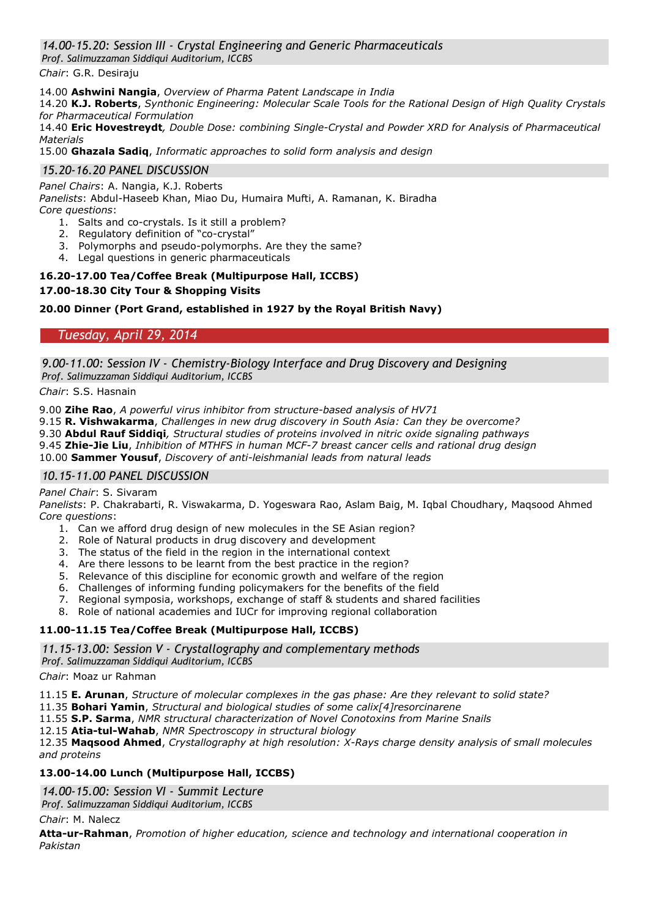## *14.00-15.20: Session III - Crystal Engineering and Generic Pharmaceuticals*

*Prof. Salimuzzaman Siddiqui Auditorium, ICCBS*

*Chair*: G.R. Desiraju

14.00 **Ashwini Nangia**, *Overview of Pharma Patent Landscape in India*

14.20 **K.J. Roberts**, *Synthonic Engineering: Molecular Scale Tools for the Rational Design of High Quality Crystals for Pharmaceutical Formulation*

14.40 **Eric Hovestreydt***, Double Dose: combining Single-Crystal and Powder XRD for Analysis of Pharmaceutical Materials*

15.00 **Ghazala Sadiq**, *Informatic approaches to solid form analysis and design*

### *15.20-16.20 PANEL DISCUSSION*

*Panel Chairs*: A. Nangia, K.J. Roberts

*Panelists*: Abdul-Haseeb Khan, Miao Du, Humaira Mufti, A. Ramanan, K. Biradha *Core questions*:

- 1. Salts and co-crystals. Is it still a problem?
- 2. Regulatory definition of "co-crystal"
- 3. Polymorphs and pseudo-polymorphs. Are they the same?
- 4. Legal questions in generic pharmaceuticals

#### **16.20-17.00 Tea/Coffee Break (Multipurpose Hall, ICCBS)**

#### **17.00-18.30 City Tour & Shopping Visits**

#### **20.00 Dinner (Port Grand, established in 1927 by the Royal British Navy)**

*Tuesday, April 29, 2014*

*9.00-11.00: Session IV - Chemistry-Biology Interface and Drug Discovery and Designing Prof. Salimuzzaman Siddiqui Auditorium, ICCBS*

*Chair*: S.S. Hasnain

9.00 **Zihe Rao**, *A powerful virus inhibitor from structure-based analysis of HV71*

9.15 **R. Vishwakarma**, *Challenges in new drug discovery in South Asia: Can they be overcome?*

9.30 **Abdul Rauf Siddiqi***, Structural studies of proteins involved in nitric oxide signaling pathways*

9.45 **Zhie-Jie Liu**, *Inhibition of MTHFS in human MCF-7 breast cancer cells and rational drug design*

10.00 **Sammer Yousuf**, *Discovery of anti-leishmanial leads from natural leads*

## *10.15-11.00 PANEL DISCUSSION*

#### *Panel Chair*: S. Sivaram

*Panelists*: P. Chakrabarti, R. Viswakarma, D. Yogeswara Rao, Aslam Baig, M. Iqbal Choudhary, Maqsood Ahmed *Core questions*:

- 1. Can we afford drug design of new molecules in the SE Asian region?
- 2. Role of Natural products in drug discovery and development
- 3. The status of the field in the region in the international context
- 4. Are there lessons to be learnt from the best practice in the region?
- 5. Relevance of this discipline for economic growth and welfare of the region
- 6. Challenges of informing funding policymakers for the benefits of the field
- 7. Regional symposia, workshops, exchange of staff & students and shared facilities
- 8. Role of national academies and IUCr for improving regional collaboration

#### **11.00-11.15 Tea/Coffee Break (Multipurpose Hall, ICCBS)**

*11.15-13.00: Session V - Crystallography and complementary methods*

*Prof. Salimuzzaman Siddiqui Auditorium, ICCBS*

*Chair*: Moaz ur Rahman

11.15 **E. Arunan**, *Structure of molecular complexes in the gas phase: Are they relevant to solid state?*

11.35 **Bohari Yamin**, *Structural and biological studies of some calix[4]resorcinarene*

11.55 **S.P. Sarma**, *NMR structural characterization of Novel Conotoxins from Marine Snails*

12.15 **Atia-tul-Wahab**, *NMR Spectroscopy in structural biology*

12.35 **Maqsood Ahmed**, *Crystallography at high resolution: X-Rays charge density analysis of small molecules and proteins*

#### **13.00-14.00 Lunch (Multipurpose Hall, ICCBS)**

*14.00-15.00: Session VI - Summit Lecture Prof. Salimuzzaman Siddiqui Auditorium, ICCBS*

#### *Chair*: M. Nalecz

**Atta-ur-Rahman**, *Promotion of higher education, science and technology and international cooperation in Pakistan*